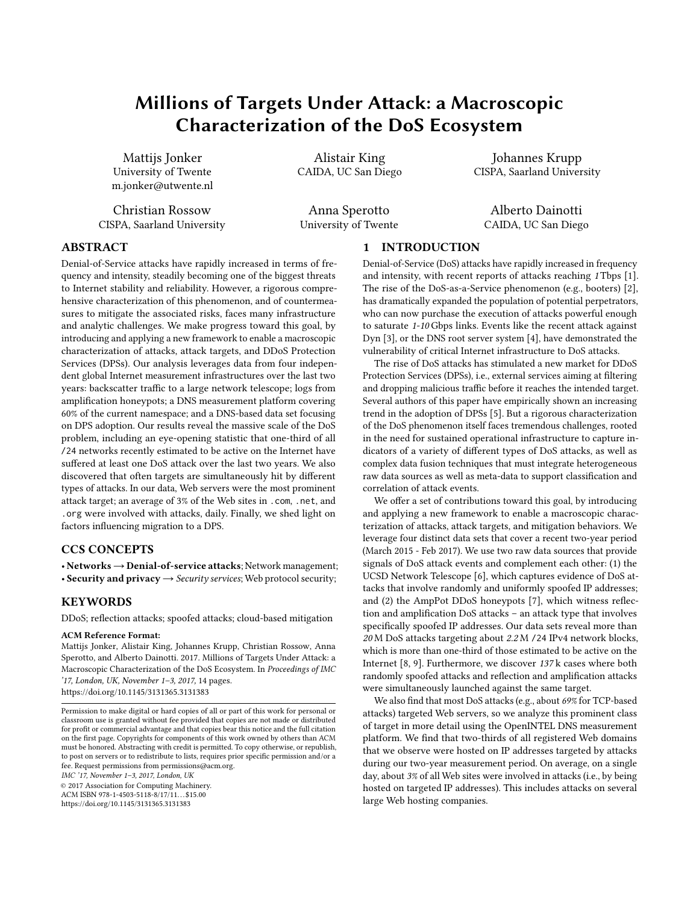# Millions of Targets Under Atack: a Macroscopic Characterization of the DoS Ecosystem

Mattijs Jonker University of Twente m.jonker@utwente.nl

Christian Rossow CISPA, Saarland University

Alistair King CAIDA, UC San Diego

Anna Sperotto University of Twente

Johannes Krupp CISPA, Saarland University

Alberto Dainotti CAIDA, UC San Diego

## ABSTRACT

Denial-of-Service attacks have rapidly increased in terms of frequency and intensity, steadily becoming one of the biggest threats to Internet stability and reliability. However, a rigorous comprehensive characterization of this phenomenon, and of countermeasures to mitigate the associated risks, faces many infrastructure and analytic challenges. We make progress toward this goal, by introducing and applying a new framework to enable a macroscopic characterization of attacks, attack targets, and DDoS Protection Services (DPSs). Our analysis leverages data from four independent global Internet measurement infrastructures over the last two years: backscatter traffic to a large network telescope; logs from amplifcation honeypots; a DNS measurement platform covering 60% of the current namespace; and a DNS-based data set focusing on DPS adoption. Our results reveal the massive scale of the DoS problem, including an eye-opening statistic that one-third of all /24 networks recently estimated to be active on the Internet have suffered at least one DoS attack over the last two years. We also discovered that often targets are simultaneously hit by diferent types of attacks. In our data, Web servers were the most prominent attack target; an average of 3% of the Web sites in .com, .net, and .org were involved with attacks, daily. Finally, we shed light on factors infuencing migration to a DPS.

## CCS CONCEPTS

• Networks  $\rightarrow$  Denial-of-service attacks; Network management; • Security and privacy  $\rightarrow$  Security services; Web protocol security;

## **KEYWORDS**

DDoS; reflection attacks; spoofed attacks; cloud-based mitigation

#### ACM Reference Format:

Mattijs Jonker, Alistair King, Johannes Krupp, Christian Rossow, Anna Sperotto, and Alberto Dainotti. 2017. Millions of Targets Under Attack: a Macroscopic Characterization of the DoS Ecosystem. In Proceedings of IMC '17, London, UK, November 1–3, 2017, [14](#page-13-0) pages. <https://doi.org/10.1145/3131365.3131383>

IMC '17, November 1–3, 2017, London, UK

© 2017 Association for Computing Machinery.

ACM ISBN 978-1-4503-5118-8/17/11...\$15.00 <https://doi.org/10.1145/3131365.3131383>

# 1 INTRODUCTION

Denial-of-Service (DoS) attacks have rapidly increased in frequency and intensity, with recent reports of attacks reaching 1 Tbps [\[1\]](#page-12-0). The rise of the DoS-as-a-Service phenomenon (e.g., booters) [\[2\]](#page-12-1), has dramatically expanded the population of potential perpetrators, who can now purchase the execution of attacks powerful enough to saturate 1-10 Gbps links. Events like the recent attack against Dyn [\[3\]](#page-12-2), or the DNS root server system [\[4\]](#page-12-3), have demonstrated the vulnerability of critical Internet infrastructure to DoS attacks.

The rise of DoS attacks has stimulated a new market for DDoS Protection Services (DPSs), i.e., external services aiming at fltering and dropping malicious traffic before it reaches the intended target. Several authors of this paper have empirically shown an increasing trend in the adoption of DPSs [\[5\]](#page-12-4). But a rigorous characterization of the DoS phenomenon itself faces tremendous challenges, rooted in the need for sustained operational infrastructure to capture indicators of a variety of diferent types of DoS attacks, as well as complex data fusion techniques that must integrate heterogeneous raw data sources as well as meta-data to support classifcation and correlation of attack events.

We offer a set of contributions toward this goal, by introducing and applying a new framework to enable a macroscopic characterization of attacks, attack targets, and mitigation behaviors. We leverage four distinct data sets that cover a recent two-year period (March 2015 - Feb 2017). We use two raw data sources that provide signals of DoS attack events and complement each other: (1) the UCSD Network Telescope [\[6\]](#page-12-5), which captures evidence of DoS attacks that involve randomly and uniformly spoofed IP addresses; and (2) the AmpPot DDoS honeypots [\[7\]](#page-12-6), which witness refection and amplifcation DoS attacks – an attack type that involves specifcally spoofed IP addresses. Our data sets reveal more than 20 M DoS attacks targeting about 2.2 M /24 IPv4 network blocks, which is more than one-third of those estimated to be active on the Internet [\[8,](#page-12-7) [9\]](#page-12-8). Furthermore, we discover 137 k cases where both randomly spoofed attacks and refection and amplifcation attacks were simultaneously launched against the same target.

We also fnd that most DoS attacks (e.g., about 69% for TCP-based attacks) targeted Web servers, so we analyze this prominent class of target in more detail using the OpenINTEL DNS measurement platform. We fnd that two-thirds of all registered Web domains that we observe were hosted on IP addresses targeted by attacks during our two-year measurement period. On average, on a single day, about 3% of all Web sites were involved in attacks (i.e., by being hosted on targeted IP addresses). This includes attacks on several large Web hosting companies.

Permission to make digital or hard copies of all or part of this work for personal or classroom use is granted without fee provided that copies are not made or distributed for proft or commercial advantage and that copies bear this notice and the full citation on the frst page. Copyrights for components of this work owned by others than ACM must be honored. Abstracting with credit is permitted. To copy otherwise, or republish, to post on servers or to redistribute to lists, requires prior specific permission and/or a fee. Request permissions from permissions@acm.org.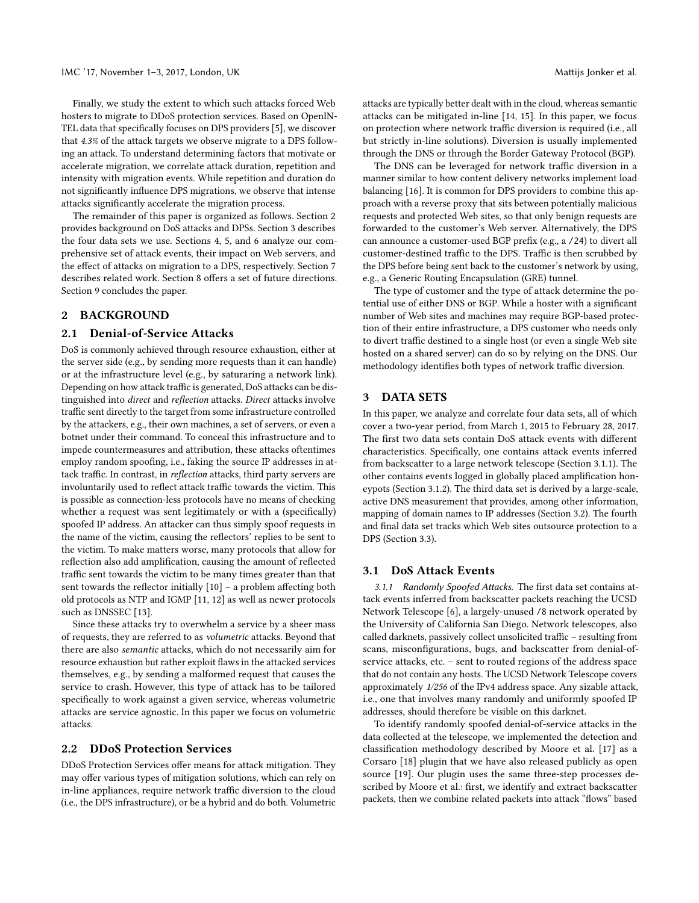Finally, we study the extent to which such attacks forced Web hosters to migrate to DDoS protection services. Based on OpenIN-TEL data that specifcally focuses on DPS providers [\[5\]](#page-12-4), we discover that 4.3% of the attack targets we observe migrate to a DPS following an attack. To understand determining factors that motivate or accelerate migration, we correlate attack duration, repetition and intensity with migration events. While repetition and duration do not signifcantly infuence DPS migrations, we observe that intense attacks signifcantly accelerate the migration process.

The remainder of this paper is organized as follows. Section [2](#page-1-0) provides background on DoS attacks and DPSs. Section [3](#page-1-1) describes the four data sets we use. Sections [4,](#page-3-0) [5,](#page--1-0) and [6](#page--1-1) analyze our comprehensive set of attack events, their impact on Web servers, and the effect of attacks on migration to a DPS, respectively. Section [7](#page-11-0) describes related work. Section [8](#page-11-1) offers a set of future directions. Section [9](#page-12-9) concludes the paper.

#### <span id="page-1-0"></span>2 BACKGROUND

#### 2.1 Denial-of-Service Attacks

DoS is commonly achieved through resource exhaustion, either at the server side (e.g., by sending more requests than it can handle) or at the infrastructure level (e.g., by saturaring a network link). Depending on how attack traffic is generated, DoS attacks can be distinguished into direct and reflection attacks. Direct attacks involve traffic sent directly to the target from some infrastructure controlled by the attackers, e.g., their own machines, a set of servers, or even a botnet under their command. To conceal this infrastructure and to impede countermeasures and attribution, these attacks oftentimes employ random spoofng, i.e., faking the source IP addresses in attack traffic. In contrast, in reflection attacks, third party servers are involuntarily used to reflect attack traffic towards the victim. This is possible as connection-less protocols have no means of checking whether a request was sent legitimately or with a (specifically) spoofed IP address. An attacker can thus simply spoof requests in the name of the victim, causing the refectors' replies to be sent to the victim. To make matters worse, many protocols that allow for refection also add amplifcation, causing the amount of refected traffic sent towards the victim to be many times greater than that sent towards the reflector initially  $[10]$  – a problem affecting both old protocols as NTP and IGMP [\[11,](#page-12-11) [12\]](#page-12-12) as well as newer protocols such as DNSSEC [\[13\]](#page-12-13).

Since these attacks try to overwhelm a service by a sheer mass of requests, they are referred to as volumetric attacks. Beyond that there are also semantic attacks, which do not necessarily aim for resource exhaustion but rather exploit faws in the attacked services themselves, e.g., by sending a malformed request that causes the service to crash. However, this type of attack has to be tailored specifcally to work against a given service, whereas volumetric attacks are service agnostic. In this paper we focus on volumetric attacks.

#### 2.2 DDoS Protection Services

DDoS Protection Services offer means for attack mitigation. They may offer various types of mitigation solutions, which can rely on in-line appliances, require network traffic diversion to the cloud (i.e., the DPS infrastructure), or be a hybrid and do both. Volumetric attacks are typically better dealt with in the cloud, whereas semantic attacks can be mitigated in-line [\[14,](#page-12-14) [15\]](#page-12-15). In this paper, we focus on protection where network traffic diversion is required (i.e., all but strictly in-line solutions). Diversion is usually implemented through the DNS or through the Border Gateway Protocol (BGP).

The DNS can be leveraged for network traffic diversion in a manner similar to how content delivery networks implement load balancing [\[16\]](#page-12-16). It is common for DPS providers to combine this approach with a reverse proxy that sits between potentially malicious requests and protected Web sites, so that only benign requests are forwarded to the customer's Web server. Alternatively, the DPS can announce a customer-used BGP prefx (e.g., a /24) to divert all customer-destined traffic to the DPS. Traffic is then scrubbed by the DPS before being sent back to the customer's network by using, e.g., a Generic Routing Encapsulation (GRE) tunnel.

The type of customer and the type of attack determine the potential use of either DNS or BGP. While a hoster with a signifcant number of Web sites and machines may require BGP-based protection of their entire infrastructure, a DPS customer who needs only to divert traffic destined to a single host (or even a single Web site hosted on a shared server) can do so by relying on the DNS. Our methodology identifies both types of network traffic diversion.

## <span id="page-1-1"></span>3 DATA SETS

In this paper, we analyze and correlate four data sets, all of which cover a two-year period, from March 1, 2015 to February 28, 2017. The frst two data sets contain DoS attack events with diferent characteristics. Specifcally, one contains attack events inferred from backscatter to a large network telescope (Section [3.1.1\)](#page-1-2). The other contains events logged in globally placed amplifcation honeypots (Section [3.1.2\)](#page-2-0). The third data set is derived by a large-scale, active DNS measurement that provides, among other information, mapping of domain names to IP addresses (Section [3.2\)](#page-2-1). The fourth and fnal data set tracks which Web sites outsource protection to a DPS (Section [3.3\)](#page-3-1).

#### 3.1 DoS Attack Events

<span id="page-1-2"></span>3.1.1 Randomly Spoofed Attacks. The first data set contains attack events inferred from backscatter packets reaching the UCSD Network Telescope [\[6\]](#page-12-5), a largely-unused /8 network operated by the University of California San Diego. Network telescopes, also called darknets, passively collect unsolicited traffic - resulting from scans, misconfgurations, bugs, and backscatter from denial-ofservice attacks, etc. – sent to routed regions of the address space that do not contain any hosts. The UCSD Network Telescope covers approximately 1/256 of the IPv4 address space. Any sizable attack, i.e., one that involves many randomly and uniformly spoofed IP addresses, should therefore be visible on this darknet.

To identify randomly spoofed denial-of-service attacks in the data collected at the telescope, we implemented the detection and classifcation methodology described by Moore et al. [\[17\]](#page-12-17) as a Corsaro [\[18\]](#page-12-18) plugin that we have also released publicly as open source [\[19\]](#page-12-19). Our plugin uses the same three-step processes described by Moore et al.: frst, we identify and extract backscatter packets, then we combine related packets into attack "flows" based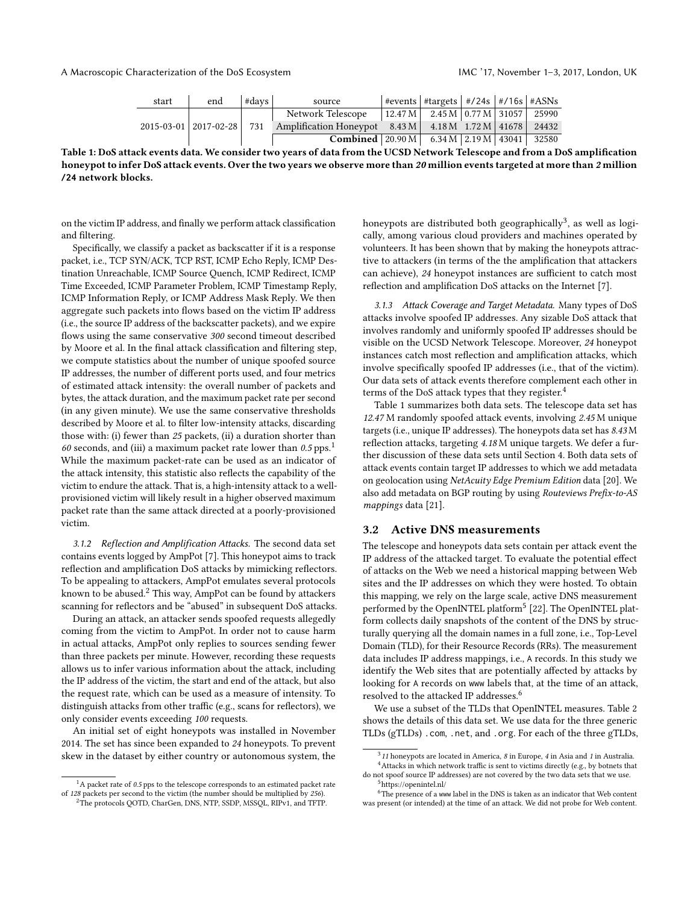|  | start | end                               | $\#davs$ | source                                                                    | $\#events$ $\#targets$ $\#/24s$ $\#/16s$ $\#ANSNs$ |                                                                           |  |
|--|-------|-----------------------------------|----------|---------------------------------------------------------------------------|----------------------------------------------------|---------------------------------------------------------------------------|--|
|  |       |                                   |          | Network Telescope                                                         |                                                    | $\vert$ 12.47 M $\vert$ 2.45 M $\vert$ 0.77 M $\vert$ 31057 $\vert$ 25990 |  |
|  |       | $2015-03-01$   $2017-02-28$   731 |          | Amplification Honeypot   $8.43 M$   $4.18 M$   $1.72 M$   $41678$   24432 |                                                    |                                                                           |  |
|  |       |                                   |          | <b>Combined</b>   20.90 M   6.34 M   2.19 M   43041   32580               |                                                    |                                                                           |  |

<span id="page-2-2"></span>Table 1: DoS attack events data. We consider two years of data from the UCSD Network Telescope and from a DoS amplifcation honeypot to infer DoS attack events. Over the two years we observe more than 20 million events targeted at more than 2 million **/24** network blocks.

on the victim IP address, and fnally we perform attack classifcation and fltering.

Specifcally, we classify a packet as backscatter if it is a response packet, i.e., TCP SYN/ACK, TCP RST, ICMP Echo Reply, ICMP Destination Unreachable, ICMP Source Quench, ICMP Redirect, ICMP Time Exceeded, ICMP Parameter Problem, ICMP Timestamp Reply, ICMP Information Reply, or ICMP Address Mask Reply. We then aggregate such packets into fows based on the victim IP address (i.e., the source IP address of the backscatter packets), and we expire flows using the same conservative 300 second timeout described by Moore et al. In the fnal attack classifcation and fltering step, we compute statistics about the number of unique spoofed source IP addresses, the number of diferent ports used, and four metrics of estimated attack intensity: the overall number of packets and bytes, the attack duration, and the maximum packet rate per second (in any given minute). We use the same conservative thresholds described by Moore et al. to flter low-intensity attacks, discarding those with: (i) fewer than 25 packets, (ii) a duration shorter than 60 seconds, and (iii) a maximum packet rate lower than  $0.5 \text{ pps}$ <sup>1</sup> While the maximum packet-rate can be used as an indicator of the attack intensity, this statistic also refects the capability of the victim to endure the attack. That is, a high-intensity attack to a wellprovisioned victim will likely result in a higher observed maximum packet rate than the same attack directed at a poorly-provisioned victim.

<span id="page-2-0"></span>3.1.2 Reflection and Amplification Atacks. The second data set contains events logged by AmpPot [\[7\]](#page-12-6). This honeypot aims to track refection and amplifcation DoS attacks by mimicking refectors. To be appealing to attackers, AmpPot emulates several protocols known to be abused. $2$  This way, AmpPot can be found by attackers scanning for refectors and be "abused" in subsequent DoS attacks.

During an attack, an attacker sends spoofed requests allegedly coming from the victim to AmpPot. In order not to cause harm in actual attacks, AmpPot only replies to sources sending fewer than three packets per minute. However, recording these requests allows us to infer various information about the attack, including the IP address of the victim, the start and end of the attack, but also the request rate, which can be used as a measure of intensity. To distinguish attacks from other traffic (e.g., scans for reflectors), we only consider events exceeding 100 requests.

An initial set of eight honeypots was installed in November 2014. The set has since been expanded to 24 honeypots. To prevent skew in the dataset by either country or autonomous system, the

honeypots are distributed both geographically $^3$ , as well as logically, among various cloud providers and machines operated by volunteers. It has been shown that by making the honeypots attractive to attackers (in terms of the the amplifcation that attackers can achieve), 24 honeypot instances are sufficient to catch most refection and amplifcation DoS attacks on the Internet [\[7\]](#page-12-6).

3.1.3 Atack Coverage and Target Metadata. Many types of DoS attacks involve spoofed IP addresses. Any sizable DoS attack that involves randomly and uniformly spoofed IP addresses should be visible on the UCSD Network Telescope. Moreover, 24 honeypot instances catch most refection and amplifcation attacks, which involve specifcally spoofed IP addresses (i.e., that of the victim). Our data sets of attack events therefore complement each other in terms of the DoS attack types that they register.<sup>4</sup>

Table [1](#page-2-2) summarizes both data sets. The telescope data set has 12.47 M randomly spoofed attack events, involving 2.45 M unique targets (i.e., unique IP addresses). The honeypots data set has 8.43 M reflection attacks, targeting 4.18 M unique targets. We defer a further discussion of these data sets until Section [4.](#page-3-0) Both data sets of attack events contain target IP addresses to which we add metadata on geolocation using NetAcuity Edge Premium Edition data [\[20\]](#page-12-20). We also add metadata on BGP routing by using Routeviews Prefx-to-AS mappings data [\[21\]](#page-12-21).

#### <span id="page-2-1"></span>3.2 Active DNS measurements

The telescope and honeypots data sets contain per attack event the IP address of the attacked target. To evaluate the potential efect of attacks on the Web we need a historical mapping between Web sites and the IP addresses on which they were hosted. To obtain this mapping, we rely on the large scale, active DNS measurement performed by the OpenINTEL platform<sup>5</sup> [\[22\]](#page-12-22). The OpenINTEL platform collects daily snapshots of the content of the DNS by structurally querying all the domain names in a full zone, i.e., Top-Level Domain (TLD), for their Resource Records (RRs). The measurement data includes IP address mappings, i.e., A records. In this study we identify the Web sites that are potentially afected by attacks by looking for A records on www labels that, at the time of an attack, resolved to the attacked IP addresses.<sup>6</sup>

We use a subset of the TLDs that OpenINTEL measures. Table [2](#page-3-2) shows the details of this data set. We use data for the three generic TLDs (gTLDs) .com, .net, and .org. For each of the three gTLDs,

 $^1\mathrm{A}$  packet rate of 0.5 pps to the telescope corresponds to an estimated packet rate of 128 packets per second to the victim (the number should be multiplied by 256).

<sup>2</sup>The protocols QOTD, CharGen, DNS, NTP, SSDP, MSSQL, RIPv1, and TFTP.

 $3$  11 honeypots are located in America,  $8$  in Europe, 4 in Asia and 1 in Australia.

 $4$ Attacks in which network traffic is sent to victims directly (e.g., by botnets that do not spoof source IP addresses) are not covered by the two data sets that we use.

<sup>5</sup><https://openintel.nl/>

<sup>&</sup>lt;sup>6</sup>The presence of a www label in the DNS is taken as an indicator that Web content was present (or intended) at the time of an attack. We did not probe for Web content.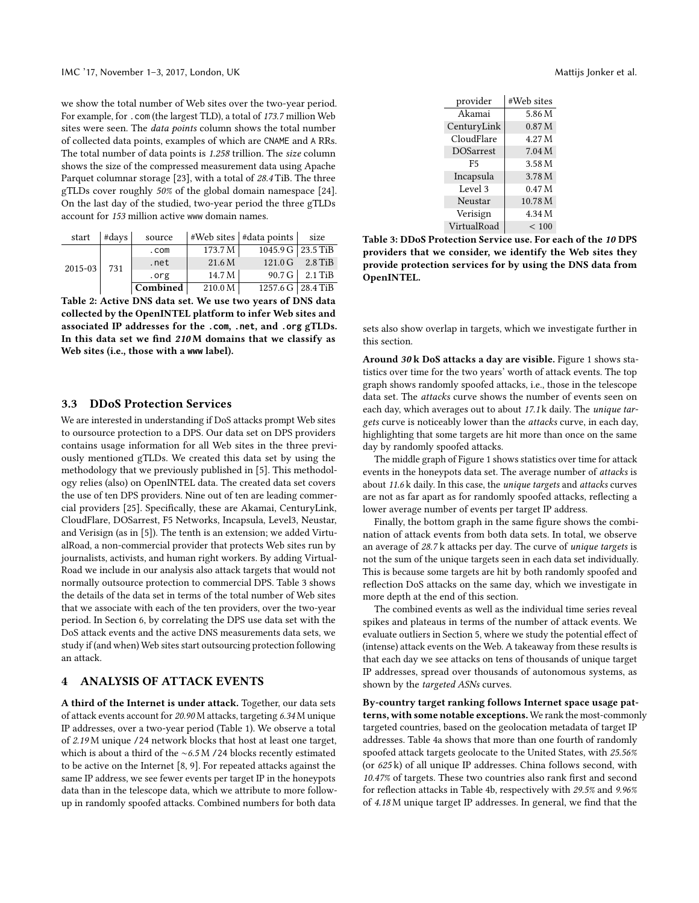we show the total number of Web sites over the two-year period. For example, for .com (the largest TLD), a total of 173.7 million Web sites were seen. The data points column shows the total number of collected data points, examples of which are CNAME and A RRs. The total number of data points is 1.258 trillion. The size column shows the size of the compressed measurement data using Apache Parquet columnar storage [\[23\]](#page-12-23), with a total of 28.4 TiB. The three gTLDs cover roughly 50% of the global domain namespace [\[24\]](#page-12-24). On the last day of the studied, two-year period the three gTLDs account for 153 million active www domain names.

<span id="page-3-2"></span>

| start   | #days | source   |         | #Web sites   #data points | size                     |
|---------|-------|----------|---------|---------------------------|--------------------------|
|         |       | . com    | 173.7 M | 1045.9 G   23.5 TiB       |                          |
| 2015-03 | 731   | .net     | 21.6 M  | 121.0 <sub>G</sub>        | $2.8$ TiB                |
|         |       | .org     | 14.7 M  |                           | $90.7 \text{ G}$ 2.1 TiB |
|         |       | Combined | 210.0 M | 1257.6 G   28.4 TiB       |                          |

Table 2: Active DNS data set. We use two years of DNS data collected by the OpenINTEL platform to infer Web sites and associated IP addresses for the **.com**, **.net**, and **.org** gTLDs. In this data set we fnd 210 M domains that we classify as Web sites (i.e., those with a **www** label).

### <span id="page-3-1"></span>3.3 DDoS Protection Services

We are interested in understanding if DoS attacks prompt Web sites to oursource protection to a DPS. Our data set on DPS providers contains usage information for all Web sites in the three previously mentioned gTLDs. We created this data set by using the methodology that we previously published in [\[5\]](#page-12-4). This methodology relies (also) on OpenINTEL data. The created data set covers the use of ten DPS providers. Nine out of ten are leading commercial providers [\[25\]](#page-12-25). Specifcally, these are Akamai, CenturyLink, CloudFlare, DOSarrest, F5 Networks, Incapsula, Level3, Neustar, and Verisign (as in [\[5\]](#page-12-4)). The tenth is an extension; we added VirtualRoad, a non-commercial provider that protects Web sites run by journalists, activists, and human right workers. By adding Virtual-Road we include in our analysis also attack targets that would not normally outsource protection to commercial DPS. Table [3](#page-3-3) shows the details of the data set in terms of the total number of Web sites that we associate with each of the ten providers, over the two-year period. In Section [6,](#page--1-1) by correlating the DPS use data set with the DoS attack events and the active DNS measurements data sets, we study if (and when) Web sites start outsourcing protection following an attack.

#### <span id="page-3-0"></span>4 ANALYSIS OF ATTACK EVENTS

A third of the Internet is under attack. Together, our data sets of attack events account for 20.90 M attacks, targeting 6.34 M unique IP addresses, over a two-year period (Table [1\)](#page-2-2). We observe a total of 2.19 M unique /24 network blocks that host at least one target, which is about a third of the ∼6.5 M /24 blocks recently estimated to be active on the Internet [\[8,](#page-12-7) [9\]](#page-12-8). For repeated attacks against the same IP address, we see fewer events per target IP in the honeypots data than in the telescope data, which we attribute to more followup in randomly spoofed attacks. Combined numbers for both data

<span id="page-3-3"></span>

| provider         | #Web sites        |
|------------------|-------------------|
| Akamai           | 5.86 M            |
| CenturyLink      | 0.87 <sub>M</sub> |
| CloudFlare       | 4.27 M            |
| <b>DOSarrest</b> | 7.04M             |
| F5               | 3.58 M            |
| Incapsula        | 3.78 M            |
| Level 3          | 0.47 <sub>M</sub> |
| Neustar          | 10.78 M           |
| Verisign         | 4.34 M            |
| VirtualRoad      | < 100             |

VirtualRoad < <sup>100</sup> Table 3: DDoS Protection Service use. For each of the 10 DPS providers that we consider, we identify the Web sites they provide protection services for by using the DNS data from OpenINTEL.

sets also show overlap in targets, which we investigate further in this section.

Around 30 k DoS attacks a day are visible. Figure [1](#page--1-2) shows statistics over time for the two years' worth of attack events. The top graph shows randomly spoofed attacks, i.e., those in the telescope data set. The attacks curve shows the number of events seen on each day, which averages out to about 17.1 k daily. The unique targets curve is noticeably lower than the attacks curve, in each day, highlighting that some targets are hit more than once on the same day by randomly spoofed attacks.

The middle graph of Figure [1](#page--1-2) shows statistics over time for attack events in the honeypots data set. The average number of attacks is about 11.6 k daily. In this case, the unique targets and attacks curves are not as far apart as for randomly spoofed attacks, refecting a lower average number of events per target IP address.

Finally, the bottom graph in the same fgure shows the combination of attack events from both data sets. In total, we observe an average of 28.7 k attacks per day. The curve of unique targets is not the sum of the unique targets seen in each data set individually. This is because some targets are hit by both randomly spoofed and refection DoS attacks on the same day, which we investigate in more depth at the end of this section.

The combined events as well as the individual time series reveal spikes and plateaus in terms of the number of attack events. We evaluate outliers in Section [5,](#page--1-0) where we study the potential efect of (intense) attack events on the Web. A takeaway from these results is that each day we see attacks on tens of thousands of unique target IP addresses, spread over thousands of autonomous systems, as shown by the targeted ASNs curves.

By-country target ranking follows Internet space usage patterns, with some notable exceptions. We rank the most-commonly targeted countries, based on the geolocation metadata of target IP addresses. Table [4a](#page--1-3) shows that more than one fourth of randomly spoofed attack targets geolocate to the United States, with 25.56% (or 625 k) of all unique IP addresses. China follows second, with 10.47% of targets. These two countries also rank frst and second for refection attacks in Table [4b,](#page--1-3) respectively with 29.5% and 9.96% of 4.18 M unique target IP addresses. In general, we fnd that the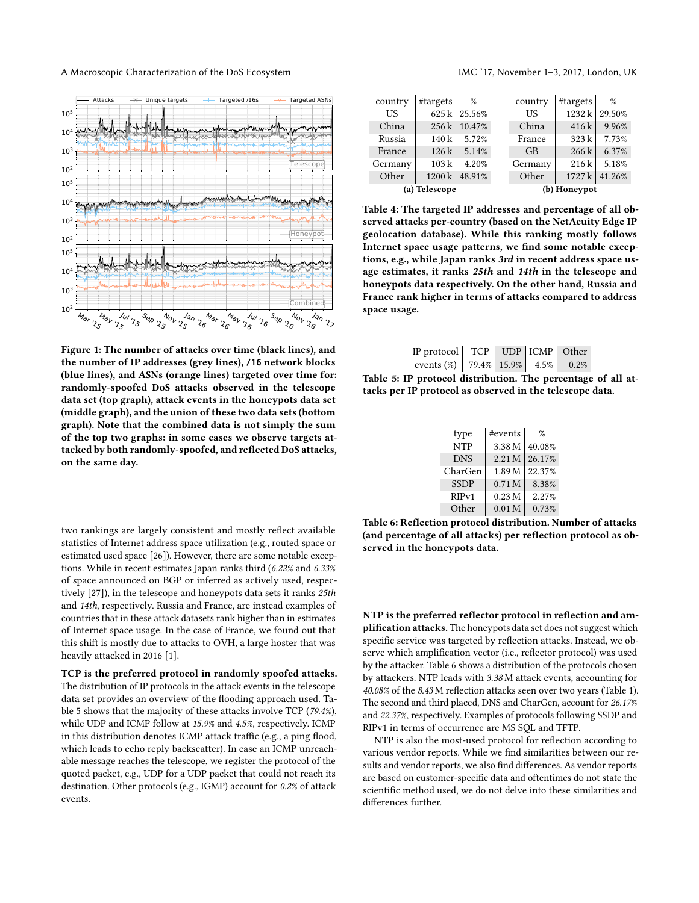A Macroscopic Characterization of the DoS Ecosystem IMC '17, November 1–3, 2017, London, UK



Figure 1: The number of attacks over time (black lines), and the number of IP addresses (grey lines), **/16** network blocks (blue lines), and ASNs (orange lines) targeted over time for: randomly-spoofed DoS attacks observed in the telescope data set (top graph), attack events in the honeypots data set (middle graph), and the union of these two data sets (bottom graph). Note that the combined data is not simply the sum of the top two graphs: in some cases we observe targets attacked by both randomly-spoofed, and reflected DoS attacks, on the same day.

two rankings are largely consistent and mostly refect available statistics of Internet address space utilization (e.g., routed space or estimated used space [\[26\]](#page-12-26)). However, there are some notable exceptions. While in recent estimates Japan ranks third (6.22% and 6.33% of space announced on BGP or inferred as actively used, respectively [\[27\]](#page-13-1)), in the telescope and honeypots data sets it ranks 25th and 14th, respectively. Russia and France, are instead examples of countries that in these attack datasets rank higher than in estimates of Internet space usage. In the case of France, we found out that this shift is mostly due to attacks to OVH, a large hoster that was heavily attacked in 2016 [\[1\]](#page-12-0).

TCP is the preferred protocol in randomly spoofed attacks. The distribution of IP protocols in the attack events in the telescope data set provides an overview of the fooding approach used. Table [5](#page--1-4) shows that the majority of these attacks involve TCP (79.4%), while UDP and ICMP follow at 15.9% and 4.5%, respectively. ICMP in this distribution denotes ICMP attack traffic (e.g., a ping flood, which leads to echo reply backscatter). In case an ICMP unreachable message reaches the telescope, we register the protocol of the quoted packet, e.g., UDP for a UDP packet that could not reach its destination. Other protocols (e.g., IGMP) account for 0.2% of attack events.

| country | #targets      | %      | country   | #targets     | %      |
|---------|---------------|--------|-----------|--------------|--------|
| US      | 625k          | 25.56% | US        | 1232 k       | 29.50% |
| China   | 256k          | 10.47% | China     | 416k         | 9.96%  |
| Russia  | 140k          | 5.72%  | France    | 323k         | 7.73%  |
| France  | 126k          | 5.14%  | <b>GB</b> | 266k         | 6.37%  |
| Germany | 103k          | 4.20%  | Germany   | 216k         | 5.18%  |
| Other   | 1200k         | 48.91% | Other     | 1727k        | 41.26% |
|         | (a) Telescope |        |           | (b) Honeypot |        |

Table 4: The targeted IP addresses and percentage of all observed attacks per-country (based on the NetAcuity Edge IP geolocation database). While this ranking mostly follows Internet space usage patterns, we fnd some notable exceptions, e.g., while Japan ranks 3rd in recent address space usage estimates, it ranks 25th and 14th in the telescope and honeypots data respectively. On the other hand, Russia and France rank higher in terms of attacks compared to address space usage.

| IP protocol $\parallel$ TCP $\parallel$ UDP $\parallel$ ICMP $\parallel$ Other |  |  |
|--------------------------------------------------------------------------------|--|--|
| events (%)   79.4%   15.9%   $4.5\%$   0.2%                                    |  |  |

Table 5: IP protocol distribution. The percentage of all attacks per IP protocol as observed in the telescope data.

| type              | #events           | Z      |
|-------------------|-------------------|--------|
| <b>NTP</b>        | 3.38 M            | 40.08% |
| <b>DNS</b>        | 2.21M             | 26.17% |
| CharGen           | 1.89 M            | 22.37% |
| <b>SSDP</b>       | 0.71M             | 8.38%  |
| RIP <sub>v1</sub> | 0.23 <sub>M</sub> | 2.27%  |
| Other             | 0.01 <sub>M</sub> | 0.73%  |

Table 6: Refection protocol distribution. Number of attacks (and percentage of all attacks) per refection protocol as observed in the honeypots data.

NTP is the preferred reflector protocol in reflection and amplifcation attacks. The honeypots data set does not suggest which specifc service was targeted by refection attacks. Instead, we observe which amplifcation vector (i.e., refector protocol) was used by the attacker. Table [6](#page--1-5) shows a distribution of the protocols chosen by attackers. NTP leads with 3.38 M attack events, accounting for 40.08% of the 8.43 M refection attacks seen over two years (Table [1\)](#page-2-2). The second and third placed, DNS and CharGen, account for 26.17% and 22.37%, respectively. Examples of protocols following SSDP and RIPv1 in terms of occurrence are MS SQL and TFTP.

NTP is also the most-used protocol for refection according to various vendor reports. While we fnd similarities between our results and vendor reports, we also fnd diferences. As vendor reports are based on customer-specifc data and oftentimes do not state the scientifc method used, we do not delve into these similarities and diferences further.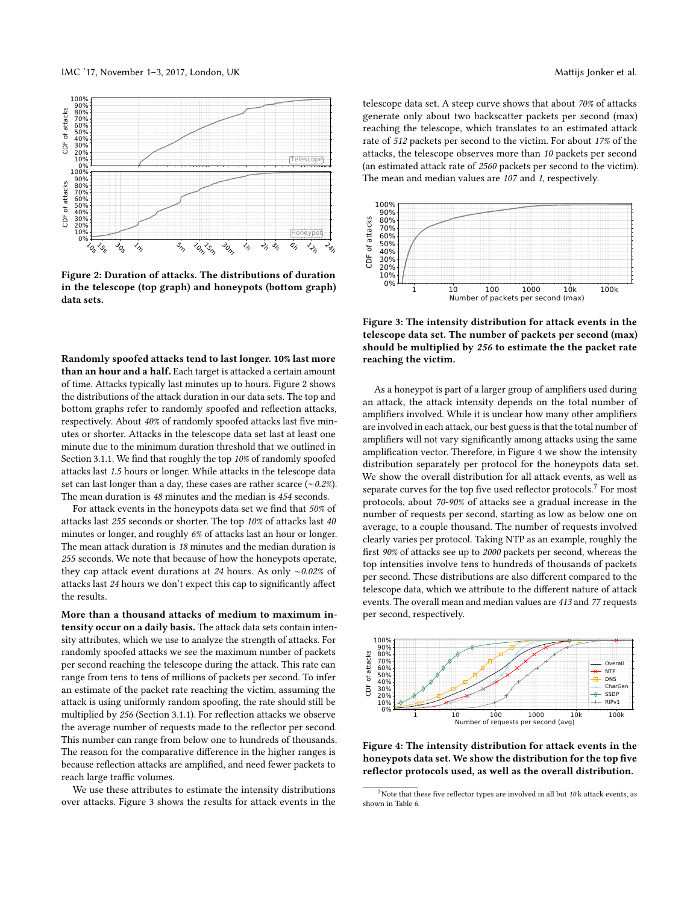

Figure 2: Duration of attacks. The distributions of duration in the telescope (top graph) and honeypots (bottom graph) data sets.

Randomly spoofed attacks tend to last longer. 10% last more than an hour and a half. Each target is attacked a certain amount of time. Attacks typically last minutes up to hours. Figure [2](#page--1-2) shows the distributions of the attack duration in our data sets. The top and bottom graphs refer to randomly spoofed and refection attacks, respectively. About 40% of randomly spoofed attacks last fve minutes or shorter. Attacks in the telescope data set last at least one minute due to the minimum duration threshold that we outlined in Section [3.1.1.](#page-1-2) We fnd that roughly the top 10% of randomly spoofed attacks last 1.5 hours or longer. While attacks in the telescope data set can last longer than a day, these cases are rather scarce (∼0.2%). The mean duration is 48 minutes and the median is 454 seconds.

For attack events in the honeypots data set we fnd that 50% of attacks last 255 seconds or shorter. The top 10% of attacks last 40 minutes or longer, and roughly 6% of attacks last an hour or longer. The mean attack duration is 18 minutes and the median duration is 255 seconds. We note that because of how the honeypots operate, they cap attack event durations at 24 hours. As only ∼0.02% of attacks last 24 hours we don't expect this cap to signifcantly afect the results.

More than a thousand attacks of medium to maximum intensity occur on a daily basis. The attack data sets contain intensity attributes, which we use to analyze the strength of attacks. For randomly spoofed attacks we see the maximum number of packets per second reaching the telescope during the attack. This rate can range from tens to tens of millions of packets per second. To infer an estimate of the packet rate reaching the victim, assuming the attack is using uniformly random spoofng, the rate should still be multiplied by 256 (Section [3.1.1\)](#page-1-2). For refection attacks we observe the average number of requests made to the reflector per second. This number can range from below one to hundreds of thousands. The reason for the comparative diference in the higher ranges is because refection attacks are amplifed, and need fewer packets to reach large traffic volumes.

We use these attributes to estimate the intensity distributions over attacks. Figure [3](#page--1-6) shows the results for attack events in the telescope data set. A steep curve shows that about 70% of attacks

generate only about two backscatter packets per second (max) reaching the telescope, which translates to an estimated attack rate of 512 packets per second to the victim. For about 17% of the attacks, the telescope observes more than 10 packets per second (an estimated attack rate of 2560 packets per second to the victim). The mean and median values are 107 and 1, respectively.



Figure 3: The intensity distribution for attack events in the telescope data set. The number of packets per second (max) should be multiplied by 256 to estimate the the packet rate reaching the victim.

As a honeypot is part of a larger group of amplifers used during an attack, the attack intensity depends on the total number of amplifers involved. While it is unclear how many other amplifers are involved in each attack, our best guess is that the total number of amplifers will not vary signifcantly among attacks using the same amplifcation vector. Therefore, in Figure [4](#page--1-7) we show the intensity distribution separately per protocol for the honeypots data set. We show the overall distribution for all attack events, as well as separate curves for the top five used reflector protocols.<sup>7</sup> For most protocols, about 70-90% of attacks see a gradual increase in the number of requests per second, starting as low as below one on average, to a couple thousand. The number of requests involved clearly varies per protocol. Taking NTP as an example, roughly the frst 90% of attacks see up to 2000 packets per second, whereas the top intensities involve tens to hundreds of thousands of packets per second. These distributions are also diferent compared to the telescope data, which we attribute to the diferent nature of attack events. The overall mean and median values are 413 and 77 requests per second, respectively.



Figure 4: The intensity distribution for attack events in the honeypots data set. We show the distribution for the top fve reflector protocols used, as well as the overall distribution.

<sup>&</sup>lt;sup>7</sup>Note that these five reflector types are involved in all but  $10 \text{ k}$  attack events, as shown in Table [6.](#page--1-5)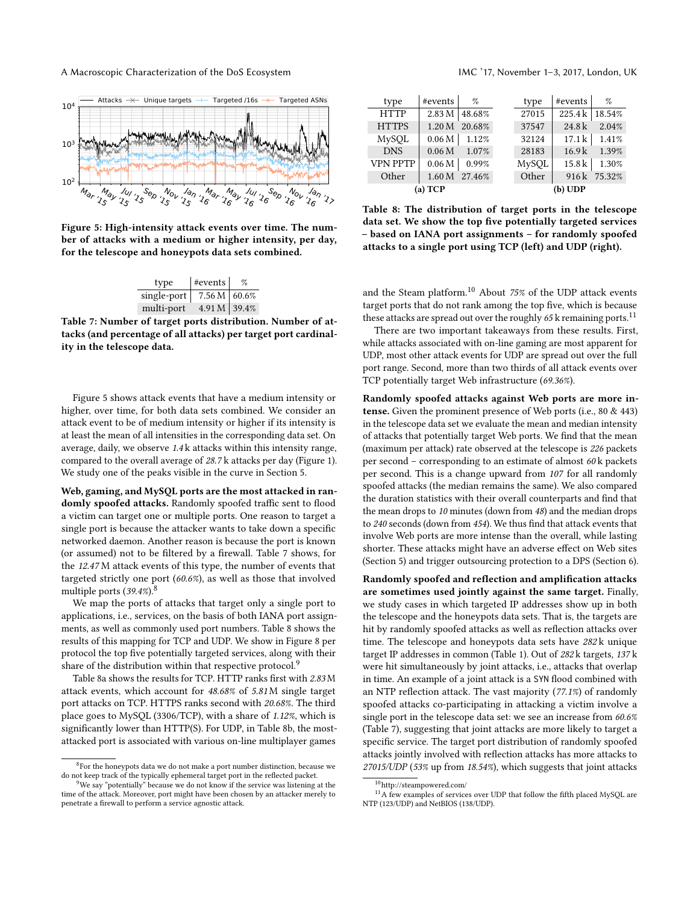

Figure 5: High-intensity attack events over time. The number of attacks with a medium or higher intensity, per day, for the telescope and honeypots data sets combined.

| type        | #events        | 07 |
|-------------|----------------|----|
| single-port | 7.56 M   60.6% |    |
| multi-port  | 4.91 M 39.4%   |    |

Table 7: Number of target ports distribution. Number of attacks (and percentage of all attacks) per target port cardinality in the telescope data.

Figure [5](#page--1-2) shows attack events that have a medium intensity or higher, over time, for both data sets combined. We consider an attack event to be of medium intensity or higher if its intensity is at least the mean of all intensities in the corresponding data set. On average, daily, we observe 1.4 k attacks within this intensity range, compared to the overall average of 28.7 k attacks per day (Figure [1\)](#page--1-2). We study one of the peaks visible in the curve in Section [5.](#page--1-0)

Web, gaming, and MySQL ports are the most attacked in randomly spoofed attacks. Randomly spoofed traffic sent to flood a victim can target one or multiple ports. One reason to target a single port is because the attacker wants to take down a specifc networked daemon. Another reason is because the port is known (or assumed) not to be fltered by a frewall. Table [7](#page--1-8) shows, for the 12.47 M attack events of this type, the number of events that targeted strictly one port (60.6%), as well as those that involved multiple ports  $(39.4\%)$ .<sup>8</sup>

We map the ports of attacks that target only a single port to applications, i.e., services, on the basis of both IANA port assignments, as well as commonly used port numbers. Table [8](#page--1-3) shows the results of this mapping for TCP and UDP. We show in Figure [8](#page--1-3) per protocol the top fve potentially targeted services, along with their share of the distribution within that respective protocol.<sup>9</sup>

Table [8a](#page--1-3) shows the results for TCP. HTTP ranks frst with 2.83 M attack events, which account for 48.68% of 5.81 M single target port attacks on TCP. HTTPS ranks second with 20.68%. The third place goes to MySQL (3306/TCP), with a share of 1.12%, which is signifcantly lower than HTTP(S). For UDP, in Table [8b,](#page--1-3) the mostattacked port is associated with various on-line multiplayer games

| type            | #events           | %      |  | type  | #events           | %      |
|-----------------|-------------------|--------|--|-------|-------------------|--------|
| <b>HTTP</b>     | 2.83M             | 48.68% |  | 27015 | 225.4k            | 18.54% |
| <b>HTTPS</b>    | 1.20 <sub>M</sub> | 20.68% |  | 37547 | 24.8k             | 2.04%  |
| MySQL           | 0.06 <sub>M</sub> | 1.12%  |  | 32124 | 17.1 <sub>k</sub> | 1.41%  |
| <b>DNS</b>      | 0.06 M            | 1.07%  |  | 28183 | 16.9k             | 1.39%  |
| <b>VPN PPTP</b> | 0.06 <sub>M</sub> | 0.99%  |  | MySQL | 15.8k             | 1.30%  |
| Other           | 1.60 <sub>M</sub> | 27.46% |  | Other | 916k              | 75.32% |
| (a) TCP         |                   |        |  |       | $(b)$ UDP         |        |

Table 8: The distribution of target ports in the telescope data set. We show the top fve potentially targeted services – based on IANA port assignments – for randomly spoofed attacks to a single port using TCP (left) and UDP (right).

and the Steam platform.<sup>10</sup> About 75% of the UDP attack events target ports that do not rank among the top fve, which is because these attacks are spread out over the roughly  $65$  k remaining ports.<sup>11</sup>

There are two important takeaways from these results. First, while attacks associated with on-line gaming are most apparent for UDP, most other attack events for UDP are spread out over the full port range. Second, more than two thirds of all attack events over TCP potentially target Web infrastructure (69.36%).

Randomly spoofed attacks against Web ports are more intense. Given the prominent presence of Web ports (i.e., 80 & 443) in the telescope data set we evaluate the mean and median intensity of attacks that potentially target Web ports. We fnd that the mean (maximum per attack) rate observed at the telescope is 226 packets per second – corresponding to an estimate of almost  $60 \text{ k packets}$ per second. This is a change upward from 107 for all randomly spoofed attacks (the median remains the same). We also compared the duration statistics with their overall counterparts and fnd that the mean drops to 10 minutes (down from 48) and the median drops to 240 seconds (down from 454). We thus fnd that attack events that involve Web ports are more intense than the overall, while lasting shorter. These attacks might have an adverse efect on Web sites (Section [5\)](#page--1-0) and trigger outsourcing protection to a DPS (Section [6\)](#page--1-1).

Randomly spoofed and refection and amplifcation attacks are sometimes used jointly against the same target. Finally, we study cases in which targeted IP addresses show up in both the telescope and the honeypots data sets. That is, the targets are hit by randomly spoofed attacks as well as refection attacks over time. The telescope and honeypots data sets have 282 k unique target IP addresses in common (Table [1\)](#page-2-2). Out of 282 k targets, 137 k were hit simultaneously by joint attacks, i.e., attacks that overlap in time. An example of a joint attack is a SYN flood combined with an NTP refection attack. The vast majority (77.1%) of randomly spoofed attacks co-participating in attacking a victim involve a single port in the telescope data set: we see an increase from 60.6% (Table [7\)](#page--1-8), suggesting that joint attacks are more likely to target a specifc service. The target port distribution of randomly spoofed attacks jointly involved with refection attacks has more attacks to 27015/UDP (53% up from 18.54%), which suggests that joint attacks

 ${}^{8}$  For the honeypots data we do not make a port number distinction, because we do not keep track of the typically ephemeral target port in the reflected packet.

<sup>&</sup>lt;sup>9</sup>We say "potentially" because we do not know if the service was listening at the time of the attack. Moreover, port might have been chosen by an attacker merely to penetrate a frewall to perform a service agnostic attack.

<sup>10</sup>http://steampowered.com/

<sup>&</sup>lt;sup>11</sup>A few examples of services over UDP that follow the fifth placed MySQL are NTP (123/UDP) and NetBIOS (138/UDP).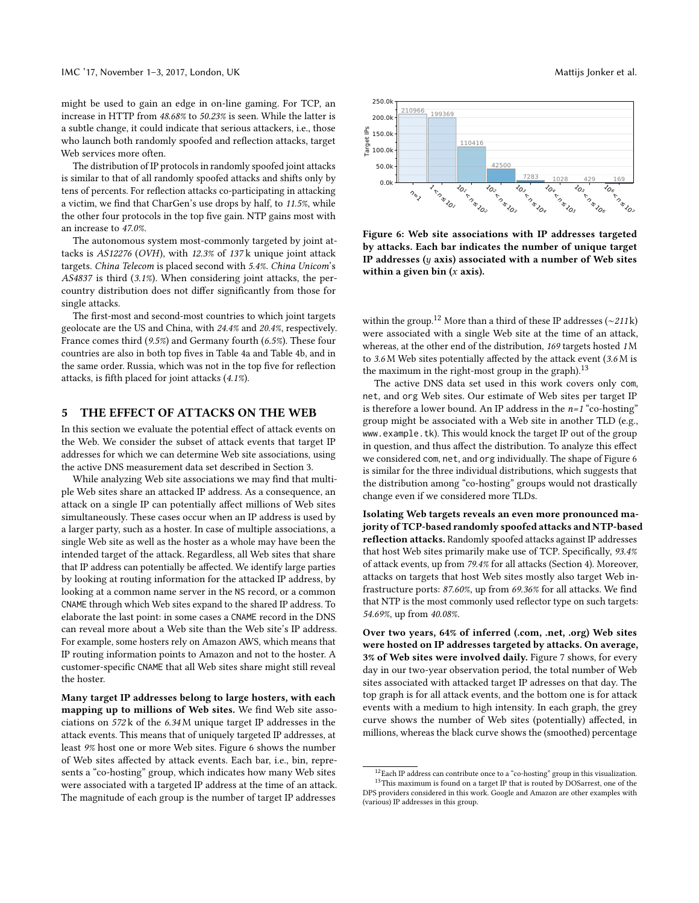might be used to gain an edge in on-line gaming. For TCP, an increase in HTTP from 48.68% to 50.23% is seen. While the latter is a subtle change, it could indicate that serious attackers, i.e., those who launch both randomly spoofed and refection attacks, target Web services more often.

The distribution of IP protocols in randomly spoofed joint attacks is similar to that of all randomly spoofed attacks and shifts only by tens of percents. For refection attacks co-participating in attacking a victim, we fnd that CharGen's use drops by half, to 11.5%, while the other four protocols in the top fve gain. NTP gains most with an increase to 47.0%.

The autonomous system most-commonly targeted by joint attacks is AS12276 (OVH), with 12.3% of 137 k unique joint attack targets. China Telecom is placed second with 5.4%. China Unicom's AS4837 is third (3.1%). When considering joint attacks, the percountry distribution does not difer signifcantly from those for single attacks.

The frst-most and second-most countries to which joint targets geolocate are the US and China, with 24.4% and 20.4%, respectively. France comes third (9.5%) and Germany fourth (6.5%). These four countries are also in both top fves in Table [4a](#page--1-3) and Table [4b,](#page--1-3) and in the same order. Russia, which was not in the top fve for refection attacks, is ffth placed for joint attacks (4.1%).

## 5 THE EFFECT OF ATTACKS ON THE WEB

In this section we evaluate the potential efect of attack events on the Web. We consider the subset of attack events that target IP addresses for which we can determine Web site associations, using the active DNS measurement data set described in Section [3.](#page-1-1)

While analyzing Web site associations we may fnd that multiple Web sites share an attacked IP address. As a consequence, an attack on a single IP can potentially afect millions of Web sites simultaneously. These cases occur when an IP address is used by a larger party, such as a hoster. In case of multiple associations, a single Web site as well as the hoster as a whole may have been the intended target of the attack. Regardless, all Web sites that share that IP address can potentially be afected. We identify large parties by looking at routing information for the attacked IP address, by looking at a common name server in the NS record, or a common CNAME through which Web sites expand to the shared IP address. To elaborate the last point: in some cases a CNAME record in the DNS can reveal more about a Web site than the Web site's IP address. For example, some hosters rely on Amazon AWS, which means that IP routing information points to Amazon and not to the hoster. A customer-specifc CNAME that all Web sites share might still reveal the hoster.

Many target IP addresses belong to large hosters, with each mapping up to millions of Web sites. We fnd Web site associations on 572 k of the 6.34 M unique target IP addresses in the attack events. This means that of uniquely targeted IP addresses, at least 9% host one or more Web sites. Figure [6](#page--1-3) shows the number of Web sites afected by attack events. Each bar, i.e., bin, represents a "co-hosting" group, which indicates how many Web sites were associated with a targeted IP address at the time of an attack. The magnitude of each group is the number of target IP addresses



Figure 6: Web site associations with IP addresses targeted by attacks. Each bar indicates the number of unique target IP addresses  $(y \text{ axis})$  associated with a number of Web sites within a given bin  $(x \text{ axis})$ .

within the group.<sup>12</sup> More than a third of these IP addresses ( $\sim$ 211k) were associated with a single Web site at the time of an attack, whereas, at the other end of the distribution, 169 targets hosted 1M to 3.6 M Web sites potentially afected by the attack event (3.6 M is the maximum in the right-most group in the graph).<sup>13</sup>

The active DNS data set used in this work covers only com, net, and org Web sites. Our estimate of Web sites per target IP is therefore a lower bound. An IP address in the  $n=1$  "co-hosting" group might be associated with a Web site in another TLD (e.g., www.example.tk). This would knock the target IP out of the group in question, and thus afect the distribution. To analyze this efect we considered com, net, and org individually. The shape of Figure [6](#page--1-3) is similar for the three individual distributions, which suggests that the distribution among "co-hosting" groups would not drastically change even if we considered more TLDs.

Isolating Web targets reveals an even more pronounced majority of TCP-based randomly spoofed attacks and NTP-based reflection attacks. Randomly spoofed attacks against IP addresses that host Web sites primarily make use of TCP. Specifcally, 93.4% of attack events, up from 79.4% for all attacks (Section [4\)](#page-3-0). Moreover, attacks on targets that host Web sites mostly also target Web infrastructure ports: 87.60%, up from 69.36% for all attacks. We fnd that NTP is the most commonly used refector type on such targets: 54.69%, up from 40.08%.

Over two years, 64% of inferred (.com, .net, .org) Web sites were hosted on IP addresses targeted by attacks. On average, 3% of Web sites were involved daily. Figure [7](#page--1-2) shows, for every day in our two-year observation period, the total number of Web sites associated with attacked target IP adresses on that day. The top graph is for all attack events, and the bottom one is for attack events with a medium to high intensity. In each graph, the grey curve shows the number of Web sites (potentially) afected, in millions, whereas the black curve shows the (smoothed) percentage

 $12$ Each IP address can contribute once to a "co-hosting" group in this visualization.  $13$ This maximum is found on a target IP that is routed by DOSarrest, one of the DPS providers considered in this work. Google and Amazon are other examples with (various) IP addresses in this group.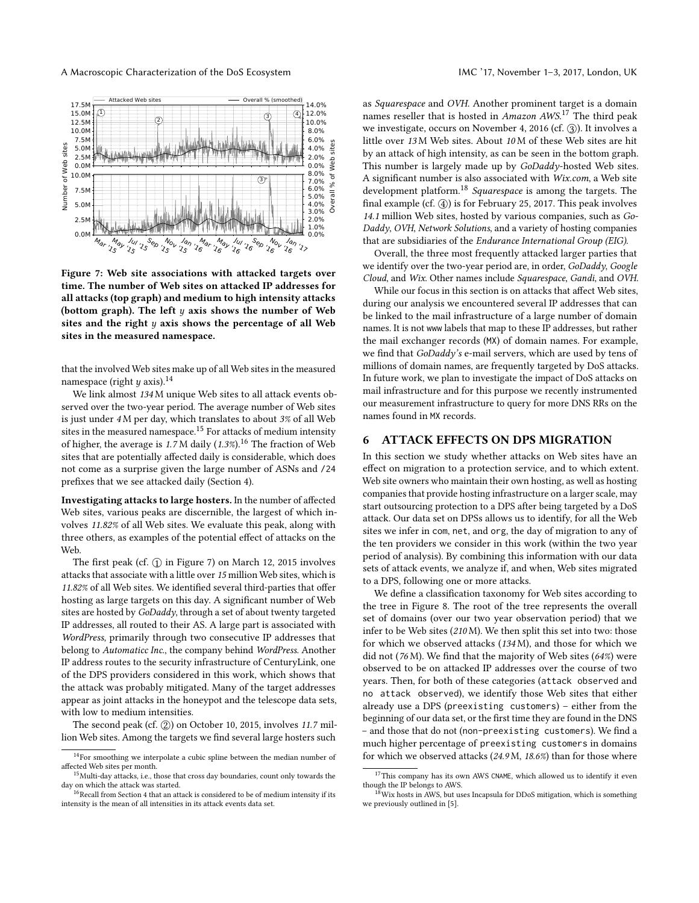

Figure 7: Web site associations with attacked targets over time. The number of Web sites on attacked IP addresses for all attacks (top graph) and medium to high intensity attacks (bottom graph). The left  $y$  axis shows the number of Web sites and the right  $y$  axis shows the percentage of all Web sites in the measured namespace.

that the involved Web sites make up of all Web sites in the measured namespace (right  $y$  axis).<sup>14</sup>

We link almost 134 M unique Web sites to all attack events observed over the two-year period. The average number of Web sites is just under 4 M per day, which translates to about 3% of all Web sites in the measured namespace.<sup>15</sup> For attacks of medium intensity of higher, the average is 1.7 M daily (1.3%).<sup>16</sup> The fraction of Web sites that are potentially afected daily is considerable, which does not come as a surprise given the large number of ASNs and /24 prefxes that we see attacked daily (Section [4\)](#page-3-0).

Investigating attacks to large hosters. In the number of afected Web sites, various peaks are discernible, the largest of which involves 11.82% of all Web sites. We evaluate this peak, along with three others, as examples of the potential effect of attacks on the Web.

The first peak (cf.  $(1)$  in Figure [7\)](#page--1-2) on March 12, 2015 involves attacks that associate with a little over 15 million Web sites, which is 11.82% of all Web sites. We identifed several third-parties that ofer hosting as large targets on this day. A signifcant number of Web sites are hosted by GoDaddy, through a set of about twenty targeted IP addresses, all routed to their AS. A large part is associated with WordPress, primarily through two consecutive IP addresses that belong to Automaticc Inc., the company behind WordPress. Another IP address routes to the security infrastructure of CenturyLink, one of the DPS providers considered in this work, which shows that the attack was probably mitigated. Many of the target addresses appear as joint attacks in the honeypot and the telescope data sets, with low to medium intensities.

The second peak (cf.  $(2)$ ) on October 10, 2015, involves 11.7 million Web sites. Among the targets we fnd several large hosters such as Squarespace and OVH. Another prominent target is a domain names reseller that is hosted in Amazon AWS.<sup>17</sup> The third peak we investigate, occurs on November 4, 2016 (cf.  $(3)$ ). It involves a little over 13 M Web sites. About 10 M of these Web sites are hit by an attack of high intensity, as can be seen in the bottom graph. This number is largely made up by GoDaddy-hosted Web sites. A signifcant number is also associated with Wix.com, a Web site development platform.<sup>18</sup> Squarespace is among the targets. The final example (cf.  $(4)$ ) is for February 25, 2017. This peak involves 14.1 million Web sites, hosted by various companies, such as Go-Daddy, OVH, Network Solutions, and a variety of hosting companies that are subsidiaries of the Endurance International Group (EIG).

Overall, the three most frequently attacked larger parties that we identify over the two-year period are, in order,  $GoDaddy$ ,  $Google$ Cloud, and Wix. Other names include Squarespace, Gandi, and OVH.

While our focus in this section is on attacks that affect Web sites, during our analysis we encountered several IP addresses that can be linked to the mail infrastructure of a large number of domain names. It is not www labels that map to these IP addresses, but rather the mail exchanger records (MX) of domain names. For example, we fnd that GoDaddy's e-mail servers, which are used by tens of millions of domain names, are frequently targeted by DoS attacks. In future work, we plan to investigate the impact of DoS attacks on mail infrastructure and for this purpose we recently instrumented our measurement infrastructure to query for more DNS RRs on the names found in MX records.

### 6 ATTACK EFFECTS ON DPS MIGRATION

In this section we study whether attacks on Web sites have an efect on migration to a protection service, and to which extent. Web site owners who maintain their own hosting, as well as hosting companies that provide hosting infrastructure on a larger scale, may start outsourcing protection to a DPS after being targeted by a DoS attack. Our data set on DPSs allows us to identify, for all the Web sites we infer in com, net, and org, the day of migration to any of the ten providers we consider in this work (within the two year period of analysis). By combining this information with our data sets of attack events, we analyze if, and when, Web sites migrated to a DPS, following one or more attacks.

We defne a classifcation taxonomy for Web sites according to the tree in Figure [8.](#page--1-2) The root of the tree represents the overall set of domains (over our two year observation period) that we infer to be Web sites (210 M). We then split this set into two: those for which we observed attacks (134 M), and those for which we did not (76 M). We find that the majority of Web sites (64%) were observed to be on attacked IP addresses over the course of two years. Then, for both of these categories (attack observed and no attack observed), we identify those Web sites that either already use a DPS (preexisting customers) – either from the beginning of our data set, or the frst time they are found in the DNS – and those that do not (non-preexisting customers). We fnd a much higher percentage of preexisting customers in domains for which we observed attacks (24.9 M, 18.6%) than for those where

 $^{14}{\rm For}$  smoothing we interpolate a cubic spline between the median number of affected Web sites per month.  $15$ Multi-day attacks, i.e., those that cross day boundaries, count only towards the

day on which the attack was started.<br><sup>16</sup>Recall from Section [4](#page-3-0) that an attack is considered to be of medium intensity if its

intensity is the mean of all intensities in its attack events data set.

 $^{17}{\rm This}$  company has its own AWS CNAME, which allowed us to identify it even though the IP belongs to AWS.

 $18$ Wix hosts in AWS, but uses Incapsula for DDoS mitigation, which is something we previously outlined in [\[5\]](#page-12-4).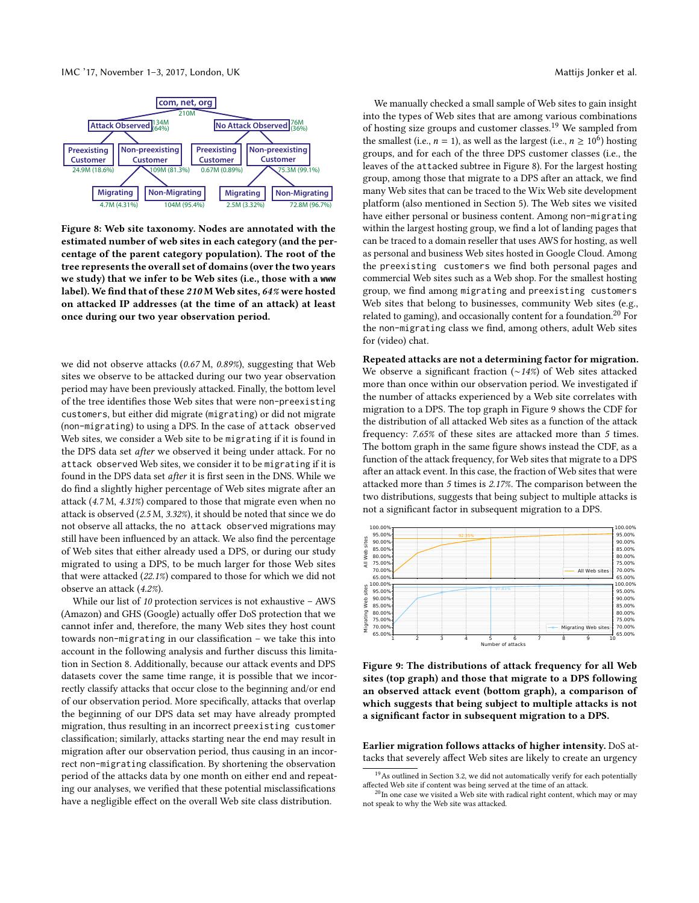IMC '17, November 1–3, 2017, London, UK and the state of the state of the state of the Mattijs Jonker et al.



Figure 8: Web site taxonomy. Nodes are annotated with the estimated number of web sites in each category (and the percentage of the parent category population). The root of the tree represents the overall set of domains (over the two years we study) that we infer to be Web sites (i.e., those with a **www** label). We find that of these 210 M Web sites, 64% were hosted on attacked IP addresses (at the time of an attack) at least once during our two year observation period.

we did not observe attacks (0.67 M, 0.89%), suggesting that Web sites we observe to be attacked during our two year observation period may have been previously attacked. Finally, the bottom level of the tree identifes those Web sites that were non-preexisting customers, but either did migrate (migrating) or did not migrate (non-migrating) to using a DPS. In the case of attack observed Web sites, we consider a Web site to be migrating if it is found in the DPS data set after we observed it being under attack. For no attack observed Web sites, we consider it to be migrating if it is found in the DPS data set after it is first seen in the DNS. While we do fnd a slightly higher percentage of Web sites migrate after an attack (4.7 M, 4.31%) compared to those that migrate even when no attack is observed (2.5 M, 3.32%), it should be noted that since we do not observe all attacks, the no attack observed migrations may still have been infuenced by an attack. We also fnd the percentage of Web sites that either already used a DPS, or during our study migrated to using a DPS, to be much larger for those Web sites that were attacked (22.1%) compared to those for which we did not observe an attack (4.2%).

While our list of 10 protection services is not exhaustive – AWS (Amazon) and GHS (Google) actually offer DoS protection that we cannot infer and, therefore, the many Web sites they host count towards non-migrating in our classifcation – we take this into account in the following analysis and further discuss this limitation in Section [8.](#page-11-1) Additionally, because our attack events and DPS datasets cover the same time range, it is possible that we incorrectly classify attacks that occur close to the beginning and/or end of our observation period. More specifcally, attacks that overlap the beginning of our DPS data set may have already prompted migration, thus resulting in an incorrect preexisting customer classifcation; similarly, attacks starting near the end may result in migration after our observation period, thus causing in an incorrect non-migrating classifcation. By shortening the observation period of the attacks data by one month on either end and repeating our analyses, we verifed that these potential misclassifcations have a negligible effect on the overall Web site class distribution.

We manually checked a small sample of Web sites to gain insight into the types of Web sites that are among various combinations of hosting size groups and customer classes.19 We sampled from the smallest (i.e.,  $n = 1$ ), as well as the largest (i.e.,  $n \ge 10^6$ ) hosting groups, and for each of the three DPS customer classes (i.e., the leaves of the attacked subtree in Figure [8\)](#page--1-2). For the largest hosting group, among those that migrate to a DPS after an attack, we fnd many Web sites that can be traced to the Wix Web site development platform (also mentioned in Section [5\)](#page--1-0). The Web sites we visited have either personal or business content. Among non-migrating within the largest hosting group, we fnd a lot of landing pages that can be traced to a domain reseller that uses AWS for hosting, as well as personal and business Web sites hosted in Google Cloud. Among the preexisting customers we fnd both personal pages and commercial Web sites such as a Web shop. For the smallest hosting group, we fnd among migrating and preexisting customers Web sites that belong to businesses, community Web sites (e.g., related to gaming), and occasionally content for a foundation.<sup>20</sup> For the non-migrating class we fnd, among others, adult Web sites for (video) chat.

Repeated attacks are not a determining factor for migration. We observe a signifcant fraction (∼14%) of Web sites attacked more than once within our observation period. We investigated if the number of attacks experienced by a Web site correlates with migration to a DPS. The top graph in Figure [9](#page--1-9) shows the CDF for the distribution of all attacked Web sites as a function of the attack frequency: 7.65% of these sites are attacked more than 5 times. The bottom graph in the same fgure shows instead the CDF, as a function of the attack frequency, for Web sites that migrate to a DPS after an attack event. In this case, the fraction of Web sites that were attacked more than 5 times is 2.17%. The comparison between the two distributions, suggests that being subject to multiple attacks is not a signifcant factor in subsequent migration to a DPS.



Figure 9: The distributions of attack frequency for all Web sites (top graph) and those that migrate to a DPS following an observed attack event (bottom graph), a comparison of which suggests that being subject to multiple attacks is not a signifcant factor in subsequent migration to a DPS.

Earlier migration follows attacks of higher intensity. DoS attacks that severely afect Web sites are likely to create an urgency

 $^{19}\rm{As}$  outlined in Section [3.2,](#page-2-1) we did not automatically verify for each potentially affected Web site if content was being served at the time of an attack.

 $^{20}$ In one case we visited a Web site with radical right content, which may or may not speak to why the Web site was attacked.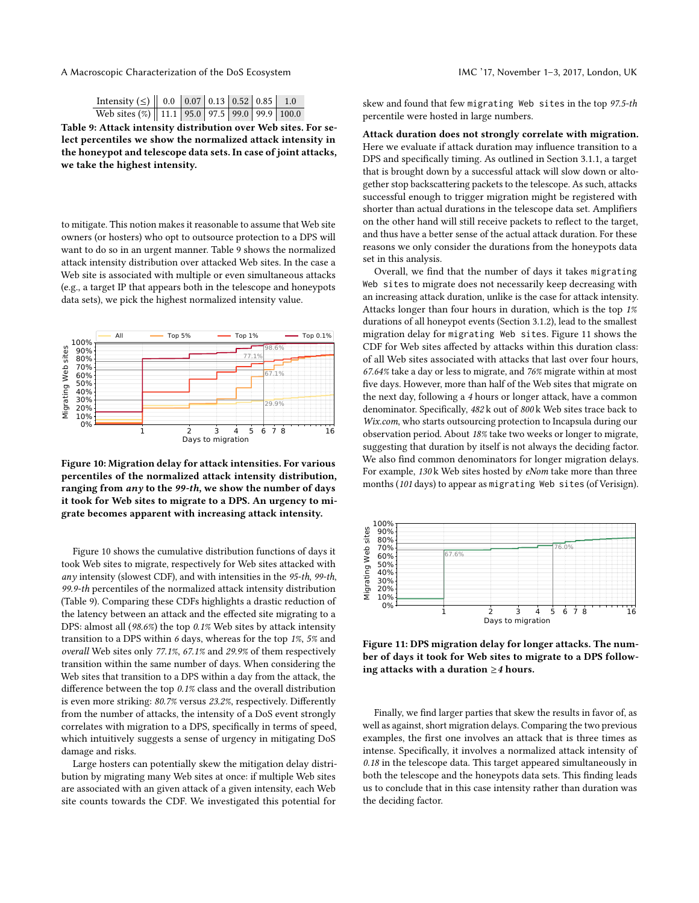| Web sites $(\%)$   11.1   95.0   97.5   99.0   99.9   100.0 |  |  |  |
|-------------------------------------------------------------|--|--|--|

Table 9: Attack intensity distribution over Web sites. For select percentiles we show the normalized attack intensity in the honeypot and telescope data sets. In case of joint attacks, we take the highest intensity.

to mitigate. This notion makes it reasonable to assume that Web site owners (or hosters) who opt to outsource protection to a DPS will want to do so in an urgent manner. Table [9](#page--1-2) shows the normalized attack intensity distribution over attacked Web sites. In the case a Web site is associated with multiple or even simultaneous attacks (e.g., a target IP that appears both in the telescope and honeypots data sets), we pick the highest normalized intensity value.



Figure 10: Migration delay for attack intensities. For various percentiles of the normalized attack intensity distribution, ranging from any to the 99-th, we show the number of days it took for Web sites to migrate to a DPS. An urgency to migrate becomes apparent with increasing attack intensity.

Figure [10](#page--1-10) shows the cumulative distribution functions of days it took Web sites to migrate, respectively for Web sites attacked with any intensity (slowest CDF), and with intensities in the 95-th, 99-th, 99.9-th percentiles of the normalized attack intensity distribution (Table [9\)](#page--1-2). Comparing these CDFs highlights a drastic reduction of the latency between an attack and the efected site migrating to a DPS: almost all (98.6%) the top 0.1% Web sites by attack intensity transition to a DPS within 6 days, whereas for the top 1%, 5% and overall Web sites only 77.1%, 67.1% and 29.9% of them respectively transition within the same number of days. When considering the Web sites that transition to a DPS within a day from the attack, the diference between the top 0.1% class and the overall distribution is even more striking: 80.7% versus 23.2%, respectively. Diferently from the number of attacks, the intensity of a DoS event strongly correlates with migration to a DPS, specifcally in terms of speed, which intuitively suggests a sense of urgency in mitigating DoS damage and risks.

Large hosters can potentially skew the mitigation delay distribution by migrating many Web sites at once: if multiple Web sites are associated with an given attack of a given intensity, each Web site counts towards the CDF. We investigated this potential for

skew and found that few migrating Web sites in the top 97.5-th percentile were hosted in large numbers.

Attack duration does not strongly correlate with migration. Here we evaluate if attack duration may infuence transition to a DPS and specifcally timing. As outlined in Section [3.1.1,](#page-1-2) a target that is brought down by a successful attack will slow down or altogether stop backscattering packets to the telescope. As such, attacks successful enough to trigger migration might be registered with shorter than actual durations in the telescope data set. Amplifers on the other hand will still receive packets to refect to the target, and thus have a better sense of the actual attack duration. For these reasons we only consider the durations from the honeypots data set in this analysis.

Overall, we fnd that the number of days it takes migrating Web sites to migrate does not necessarily keep decreasing with an increasing attack duration, unlike is the case for attack intensity. Attacks longer than four hours in duration, which is the top 1% durations of all honeypot events (Section [3.1.2\)](#page-2-0), lead to the smallest migration delay for migrating Web sites. Figure [11](#page--1-11) shows the CDF for Web sites afected by attacks within this duration class: of all Web sites associated with attacks that last over four hours, 67.64% take a day or less to migrate, and 76% migrate within at most fve days. However, more than half of the Web sites that migrate on the next day, following a 4 hours or longer attack, have a common denominator. Specifically, 482 k out of 800 k Web sites trace back to Wix.com, who starts outsourcing protection to Incapsula during our observation period. About 18% take two weeks or longer to migrate, suggesting that duration by itself is not always the deciding factor. We also fnd common denominators for longer migration delays. For example, 130 k Web sites hosted by eNom take more than three months (101 days) to appear as migrating Web sites (of Verisign).



Figure 11: DPS migration delay for longer attacks. The number of days it took for Web sites to migrate to a DPS following attacks with a duration  $\geq 4$  hours.

Finally, we fnd larger parties that skew the results in favor of, as well as against, short migration delays. Comparing the two previous examples, the frst one involves an attack that is three times as intense. Specifcally, it involves a normalized attack intensity of 0.18 in the telescope data. This target appeared simultaneously in both the telescope and the honeypots data sets. This fnding leads us to conclude that in this case intensity rather than duration was the deciding factor.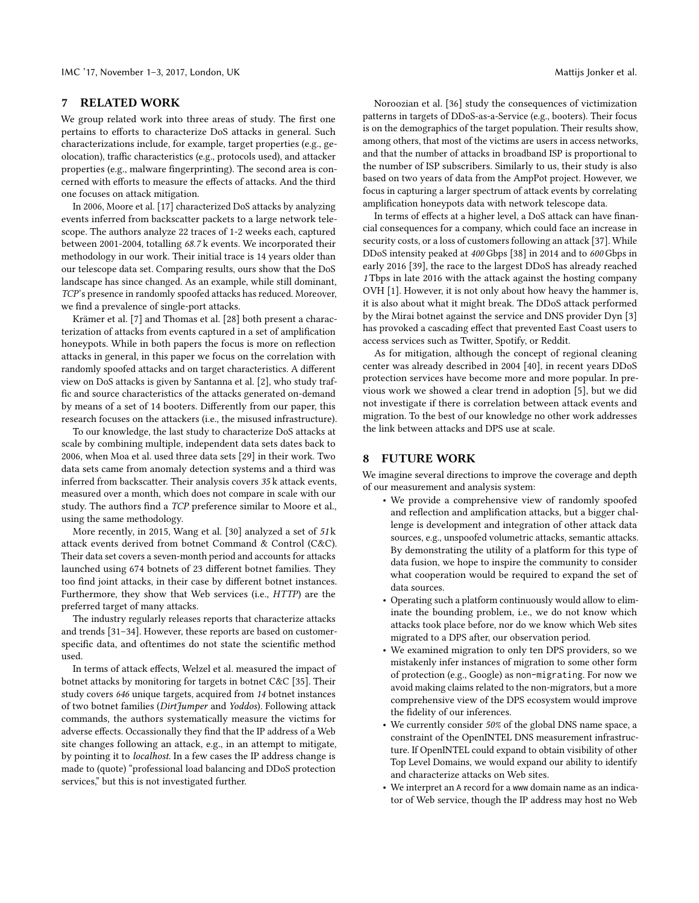## <span id="page-11-0"></span>7 RELATED WORK

We group related work into three areas of study. The frst one pertains to eforts to characterize DoS attacks in general. Such characterizations include, for example, target properties (e.g., geolocation), traffic characteristics (e.g., protocols used), and attacker properties (e.g., malware fngerprinting). The second area is concerned with efforts to measure the effects of attacks. And the third one focuses on attack mitigation.

In 2006, Moore et al. [\[17\]](#page-12-17) characterized DoS attacks by analyzing events inferred from backscatter packets to a large network telescope. The authors analyze 22 traces of 1-2 weeks each, captured between 2001-2004, totalling 68.7 k events. We incorporated their methodology in our work. Their initial trace is 14 years older than our telescope data set. Comparing results, ours show that the DoS landscape has since changed. As an example, while still dominant, TCP's presence in randomly spoofed attacks has reduced. Moreover, we fnd a prevalence of single-port attacks.

Krämer et al. [\[7\]](#page-12-6) and Thomas et al. [\[28\]](#page-13-2) both present a characterization of attacks from events captured in a set of amplifcation honeypots. While in both papers the focus is more on refection attacks in general, in this paper we focus on the correlation with randomly spoofed attacks and on target characteristics. A diferent view on DoS attacks is given by Santanna et al. [\[2\]](#page-12-1), who study traffc and source characteristics of the attacks generated on-demand by means of a set of 14 booters. Diferently from our paper, this research focuses on the attackers (i.e., the misused infrastructure).

To our knowledge, the last study to characterize DoS attacks at scale by combining multiple, independent data sets dates back to 2006, when Moa et al. used three data sets [\[29\]](#page-13-3) in their work. Two data sets came from anomaly detection systems and a third was inferred from backscatter. Their analysis covers 35 k attack events, measured over a month, which does not compare in scale with our study. The authors fnd a TCP preference similar to Moore et al., using the same methodology.

More recently, in 2015, Wang et al. [\[30\]](#page-13-4) analyzed a set of 51 k attack events derived from botnet Command & Control (C&C). Their data set covers a seven-month period and accounts for attacks launched using 674 botnets of 23 diferent botnet families. They too fnd joint attacks, in their case by diferent botnet instances. Furthermore, they show that Web services (i.e., HTTP) are the preferred target of many attacks.

The industry regularly releases reports that characterize attacks and trends [\[31–](#page-13-5)[34\]](#page-13-6). However, these reports are based on customerspecifc data, and oftentimes do not state the scientifc method used.

In terms of attack efects, Welzel et al. measured the impact of botnet attacks by monitoring for targets in botnet C&C [\[35\]](#page-13-7). Their study covers 646 unique targets, acquired from 14 botnet instances of two botnet families (DirtJumper and Yoddos). Following attack commands, the authors systematically measure the victims for adverse efects. Occassionally they fnd that the IP address of a Web site changes following an attack, e.g., in an attempt to mitigate, by pointing it to localhost. In a few cases the IP address change is made to (quote) "professional load balancing and DDoS protection services," but this is not investigated further.

Noroozian et al. [\[36\]](#page-13-8) study the consequences of victimization patterns in targets of DDoS-as-a-Service (e.g., booters). Their focus is on the demographics of the target population. Their results show, among others, that most of the victims are users in access networks, and that the number of attacks in broadband ISP is proportional to the number of ISP subscribers. Similarly to us, their study is also based on two years of data from the AmpPot project. However, we focus in capturing a larger spectrum of attack events by correlating amplifcation honeypots data with network telescope data.

In terms of efects at a higher level, a DoS attack can have fnancial consequences for a company, which could face an increase in security costs, or a loss of customers following an attack [\[37\]](#page-13-9). While DDoS intensity peaked at 400 Gbps [\[38\]](#page-13-10) in 2014 and to 600 Gbps in early 2016 [\[39\]](#page-13-11), the race to the largest DDoS has already reached 1 Tbps in late 2016 with the attack against the hosting company OVH [\[1\]](#page-12-0). However, it is not only about how heavy the hammer is, it is also about what it might break. The DDoS attack performed by the Mirai botnet against the service and DNS provider Dyn [\[3\]](#page-12-2) has provoked a cascading efect that prevented East Coast users to access services such as Twitter, Spotify, or Reddit.

As for mitigation, although the concept of regional cleaning center was already described in 2004 [\[40\]](#page-13-12), in recent years DDoS protection services have become more and more popular. In previous work we showed a clear trend in adoption [\[5\]](#page-12-4), but we did not investigate if there is correlation between attack events and migration. To the best of our knowledge no other work addresses the link between attacks and DPS use at scale.

## <span id="page-11-1"></span>8 FUTURE WORK

We imagine several directions to improve the coverage and depth of our measurement and analysis system:

- We provide a comprehensive view of randomly spoofed and refection and amplifcation attacks, but a bigger challenge is development and integration of other attack data sources, e.g., unspoofed volumetric attacks, semantic attacks. By demonstrating the utility of a platform for this type of data fusion, we hope to inspire the community to consider what cooperation would be required to expand the set of data sources.
- Operating such a platform continuously would allow to eliminate the bounding problem, i.e., we do not know which attacks took place before, nor do we know which Web sites migrated to a DPS after, our observation period.
- We examined migration to only ten DPS providers, so we mistakenly infer instances of migration to some other form of protection (e.g., Google) as non-migrating. For now we avoid making claims related to the non-migrators, but a more comprehensive view of the DPS ecosystem would improve the fdelity of our inferences.
- We currently consider 50% of the global DNS name space, a constraint of the OpenINTEL DNS measurement infrastructure. If OpenINTEL could expand to obtain visibility of other Top Level Domains, we would expand our ability to identify and characterize attacks on Web sites.
- We interpret an A record for a www domain name as an indicator of Web service, though the IP address may host no Web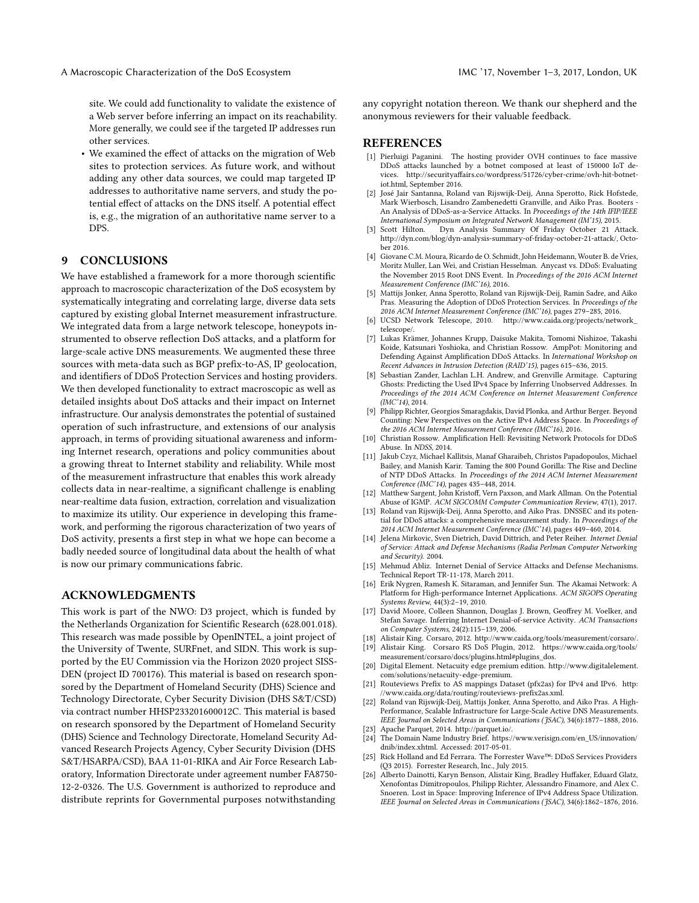site. We could add functionality to validate the existence of a Web server before inferring an impact on its reachability. More generally, we could see if the targeted IP addresses run other services.

• We examined the efect of attacks on the migration of Web sites to protection services. As future work, and without adding any other data sources, we could map targeted IP addresses to authoritative name servers, and study the potential effect of attacks on the DNS itself. A potential effect is, e.g., the migration of an authoritative name server to a DPS.

#### <span id="page-12-9"></span>9 CONCLUSIONS

We have established a framework for a more thorough scientifc approach to macroscopic characterization of the DoS ecosystem by systematically integrating and correlating large, diverse data sets captured by existing global Internet measurement infrastructure. We integrated data from a large network telescope, honeypots instrumented to observe refection DoS attacks, and a platform for large-scale active DNS measurements. We augmented these three sources with meta-data such as BGP prefx-to-AS, IP geolocation, and identifers of DDoS Protection Services and hosting providers. We then developed functionality to extract macroscopic as well as detailed insights about DoS attacks and their impact on Internet infrastructure. Our analysis demonstrates the potential of sustained operation of such infrastructure, and extensions of our analysis approach, in terms of providing situational awareness and informing Internet research, operations and policy communities about a growing threat to Internet stability and reliability. While most of the measurement infrastructure that enables this work already collects data in near-realtime, a signifcant challenge is enabling near-realtime data fusion, extraction, correlation and visualization to maximize its utility. Our experience in developing this framework, and performing the rigorous characterization of two years of DoS activity, presents a frst step in what we hope can become a badly needed source of longitudinal data about the health of what is now our primary communications fabric.

### ACKNOWLEDGMENTS

This work is part of the NWO: D3 project, which is funded by the Netherlands Organization for Scientifc Research (628.001.018). This research was made possible by OpenINTEL, a joint project of the University of Twente, SURFnet, and SIDN. This work is supported by the EU Commission via the Horizon 2020 project SISS-DEN (project ID 700176). This material is based on research sponsored by the Department of Homeland Security (DHS) Science and Technology Directorate, Cyber Security Division (DHS S&T/CSD) via contract number HHSP233201600012C. This material is based on research sponsored by the Department of Homeland Security (DHS) Science and Technology Directorate, Homeland Security Advanced Research Projects Agency, Cyber Security Division (DHS S&T/HSARPA/CSD), BAA 11-01-RIKA and Air Force Research Laboratory, Information Directorate under agreement number FA8750- 12-2-0326. The U.S. Government is authorized to reproduce and distribute reprints for Governmental purposes notwithstanding

any copyright notation thereon. We thank our shepherd and the anonymous reviewers for their valuable feedback.

#### REFERENCES

- <span id="page-12-0"></span>[1] Pierluigi Paganini. The hosting provider OVH continues to face massive DDoS attacks launched by a botnet composed at least of 150000 IoT devices. http://securityafairs.co/wordpress/51726/cyber-crime/ovh-hit-botnetiot.html, September 2016.
- <span id="page-12-1"></span>[2] José Jair Santanna, Roland van Rijswijk-Deij, Anna Sperotto, Rick Hofstede, Mark Wierbosch, Lisandro Zambenedetti Granville, and Aiko Pras. Booters - An Analysis of DDoS-as-a-Service Attacks. In Proceedings of the 14th IFIP/IEEE International Symposium on Integrated Network Management (IM'15), 2015.
- <span id="page-12-2"></span>[3] Scott Hilton. Dyn Analysis Summary Of Friday October 21 Attack. http://dyn.com/blog/dyn-analysis-summary-of-friday-october-21-attack/, October 2016.
- <span id="page-12-3"></span>[4] Giovane C.M. Moura, Ricardo de O. Schmidt, John Heidemann, Wouter B. de Vries, Moritz Muller, Lan Wei, and Cristian Hesselman. Anycast vs. DDoS: Evaluating the November 2015 Root DNS Event. In Proceedings of the 2016 ACM Internet Measurement Conference (IMC'16), 2016.
- <span id="page-12-4"></span>[5] Mattijs Jonker, Anna Sperotto, Roland van Rijswijk-Deij, Ramin Sadre, and Aiko Pras. Measuring the Adoption of DDoS Protection Services. In Proceedings of the 2016 ACM Internet Measurement Conference (IMC'16), pages 279–285, 2016.
- <span id="page-12-5"></span>[6] UCSD Network Telescope, 2010. [http://www.caida.org/projects/network\\_](http://www.caida.org/projects/network_telescope/) [telescope/.](http://www.caida.org/projects/network_telescope/)
- <span id="page-12-6"></span>[7] Lukas Krämer, Johannes Krupp, Daisuke Makita, Tomomi Nishizoe, Takashi Koide, Katsunari Yoshioka, and Christian Rossow. AmpPot: Monitoring and Defending Against Amplifcation DDoS Attacks. In International Workshop on Recent Advances in Intrusion Detection (RAID'15), pages 615–636, 2015.
- <span id="page-12-7"></span>[8] Sebastian Zander, Lachlan L.H. Andrew, and Grenville Armitage. Capturing Ghosts: Predicting the Used IPv4 Space by Inferring Unobserved Addresses. In Proceedings of the 2014 ACM Conference on Internet Measurement Conference (IMC'14), 2014.
- <span id="page-12-8"></span>[9] Philipp Richter, Georgios Smaragdakis, David Plonka, and Arthur Berger. Beyond Counting: New Perspectives on the Active IPv4 Address Space. In Proceedings of the 2016 ACM Internet Measurement Conference (IMC'16), 2016.
- <span id="page-12-10"></span>[10] Christian Rossow. Amplifcation Hell: Revisiting Network Protocols for DDoS Abuse. In NDSS, 2014.
- <span id="page-12-11"></span>[11] Jakub Czyz, Michael Kallitsis, Manaf Gharaibeh, Christos Papadopoulos, Michael Bailey, and Manish Karir. Taming the 800 Pound Gorilla: The Rise and Decline of NTP DDoS Attacks. In Proceedings of the 2014 ACM Internet Measurement Conference (IMC'14), pages 435–448, 2014.
- <span id="page-12-12"></span>[12] Matthew Sargent, John Kristof, Vern Paxson, and Mark Allman. On the Potential Abuse of IGMP. ACM SIGCOMM Computer Communication Review, 47(1), 2017.
- <span id="page-12-13"></span>[13] Roland van Rijswijk-Deij, Anna Sperotto, and Aiko Pras. DNSSEC and its potential for DDoS attacks: a comprehensive measurement study. In Proceedings of the 2014 ACM Internet Measurement Conference (IMC'14), pages 449–460, 2014.
- <span id="page-12-14"></span>[14] Jelena Mirkovic, Sven Dietrich, David Dittrich, and Peter Reiher. Internet Denial of Service: Attack and Defense Mechanisms (Radia Perlman Computer Networking and Security). 2004.
- <span id="page-12-15"></span>[15] Mehmud Abliz. Internet Denial of Service Attacks and Defense Mechanisms. Technical Report TR-11-178, March 2011.
- <span id="page-12-16"></span>[16] Erik Nygren, Ramesh K. Sitaraman, and Jennifer Sun. The Akamai Network: A Platform for High-performance Internet Applications. ACM SIGOPS Operating Systems Review, 44(3):2–19, 2010.
- <span id="page-12-17"></span>[17] David Moore, Colleen Shannon, Douglas J. Brown, Geofrey M. Voelker, and Stefan Savage. Inferring Internet Denial-of-service Activity. ACM Transactions on Computer Systems, 24(2):115–139, 2006.
- <span id="page-12-19"></span><span id="page-12-18"></span>[18] Alistair King. Corsaro, 2012. [http://www.caida.org/tools/measurement/corsaro/.](http://www.caida.org/tools/measurement/corsaro/) [19] Alistair King. Corsaro RS DoS Plugin, 2012. [https://www.caida.org/tools/](https://www.caida.org/tools/measurement/corsaro/docs/plugins.html#plugins_dos)
- <span id="page-12-20"></span>[measurement/corsaro/docs/plugins.html#plugins\\_dos.](https://www.caida.org/tools/measurement/corsaro/docs/plugins.html#plugins_dos) [20] Digital Element. Netacuity edge premium edition. [http://www.digitalelement.](http://www.digitalelement.com/solutions/netacuity-edge-premium)
- <span id="page-12-21"></span>[com/solutions/netacuity-edge-premium.](http://www.digitalelement.com/solutions/netacuity-edge-premium) [21] Routeviews Prefx to AS mappings Dataset (pfx2as) for IPv4 and IPv6. [http:](http://www.caida.org/data/routing/routeviews-prefix2as.xml)
- <span id="page-12-22"></span>[//www.caida.org/data/routing/routeviews-prefx2as.xml.](http://www.caida.org/data/routing/routeviews-prefix2as.xml) [22] Roland van Rijswijk-Deij, Mattijs Jonker, Anna Sperotto, and Aiko Pras. A High-Performance, Scalable Infrastructure for Large-Scale Active DNS Measurements.
- <span id="page-12-23"></span>IEEE Journal on Selected Areas in Communications (JSAC), 34(6):1877–1888, 2016. [23] Apache Parquet, 2014. [http://parquet.io/.](http://parquet.io/)
- <span id="page-12-24"></span>[24] The Domain Name Industry Brief. [https://www.verisign.com/en\\_US/innovation/](https://www.verisign.com/en_US/innovation/dnib/index.xhtml) [dnib/index.xhtml.](https://www.verisign.com/en_US/innovation/dnib/index.xhtml) Accessed: 2017-05-01.
- <span id="page-12-25"></span>[25] Rick Holland and Ed Ferrara. The Forrester Wave™: DDoS Services Providers (Q3 2015). Forrester Research, Inc., July 2015.
- <span id="page-12-26"></span>[26] Alberto Dainotti, Karyn Benson, Alistair King, Bradley Huffaker, Eduard Glatz, Xenofontas Dimitropoulos, Philipp Richter, Alessandro Finamore, and Alex C. Snoeren. Lost in Space: Improving Inference of IPv4 Address Space Utilization. IEEE Journal on Selected Areas in Communications (JSAC), 34(6):1862–1876, 2016.